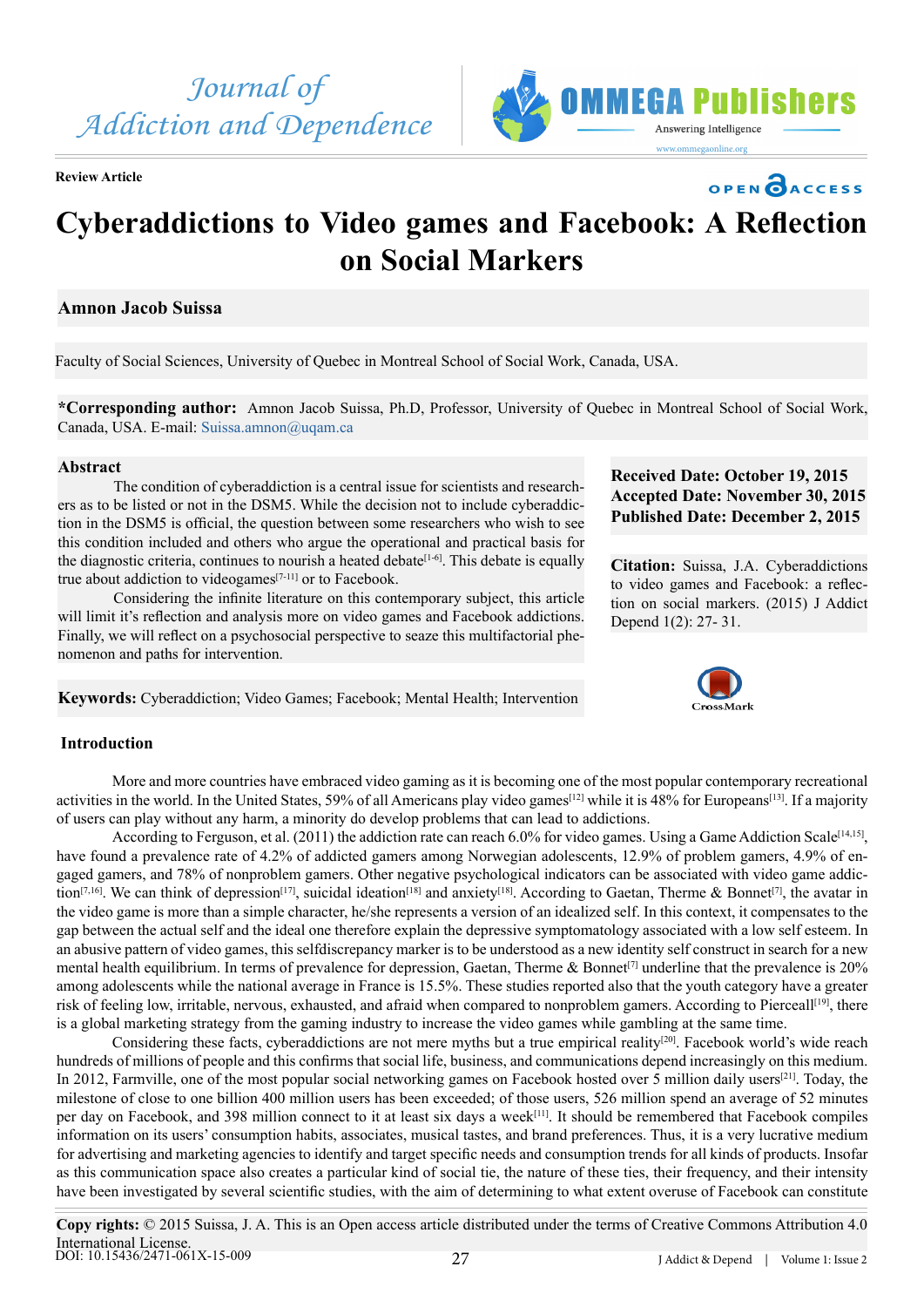

**Review Article**



## OPEN CACCESS

# **Cyberaddictions to Video games and Facebook: A Reflection on Social Markers**

## **Amnon Jacob Suissa**

Faculty of Social Sciences, University of Quebec in Montreal School of Social Work, Canada, USA.

**\*Corresponding author:** Amnon Jacob Suissa, Ph.D, Professor, University of Quebec in Montreal School of Social Work, Canada, USA. E-mail: [Suissa.amnon@uqam.ca](mailto:Suissa.amnon@uqam.ca)

### **Abstract**

The condition of cyberaddiction is a central issue for scientists and researchers as to be listed or not in the DSM5. While the decision not to include cyberaddiction in the DSM5 is official, the question between some researchers who wish to see this condition included and others who argue the operational and practical basis for the diagnostic criteria, continues to nourish a heated debate<sup>[\[1-6\]](#page-3-0)</sup>. This debate is equally true about addiction to videogames $[7-11]$  or to Facebook.

Considering the infinite literature on this contemporary subject, this article will limit it's reflection and analysis more on video games and Facebook addictions. Finally, we will reflect on a psychosocial perspective to seaze this multifactorial phenomenon and paths for intervention.

**Keywords:** Cyberaddiction; Video Games; Facebook; Mental Health; Intervention

## **Received Date: October 19, 2015 Accepted Date: November 30, 2015 Published Date: December 2, 2015**

**Citation:** Suissa, J.A. Cyberaddictions to video games and Facebook: a reflection on social markers. (2015) J Addict Depend 1(2): 27- 31.



## **Introduction**

More and more countries have embraced video gaming as it is becoming one of the most popular contemporary recreational activities in the world. In the United States, 59% of all Americans play video games[\[12\]](#page-3-2) while it is 48% for Europeans[\[13\]](#page-3-3). If a majority of users can play without any harm, a minority do develop problems that can lead to addictions.

According to Ferguson, et al. (2011) the addiction rate can reach 6.0% for video games. Using a Game Addiction Scale<sup>[14,15]</sup>, have found a prevalence rate of 4.2% of addicted gamers among Norwegian adolescents, 12.9% of problem gamers, 4.9% of engaged gamers, and 78% of nonproblem gamers. Other negative psychological indicators can be associated with video game addic-tion<sup>[\[7,16\]](#page-3-1)</sup>. We can think of depression<sup>[\[17\]](#page-4-0)</sup>, suicidal ideation<sup>[\[18\]](#page-4-1)</sup> and anxiety<sup>[18]</sup>. According to Gaetan, Therme & Bonnet<sup>[\[7\]](#page-3-1)</sup>, the avatar in the video game is more than a simple character, he/she represents a version of an idealized self. In this context, it compensates to the gap between the actual self and the ideal one therefore explain the depressive symptomatology associated with a low self esteem. In an abusive pattern of video games, this selfdiscrepancy marker is to be understood as a new identity self construct in search for a new mental health equilibrium. In terms of prevalence for depression, Gaetan, Therme & Bonnet<sup>[\[7\]](#page-3-1)</sup> underline that the prevalence is 20% among adolescents while the national average in France is 15.5%. These studies reported also that the youth category have a greater risk of feeling low, irritable, nervous, exhausted, and afraid when compared to nonproblem gamers. According to Pierceall<sup>[\[19\]](#page-4-2)</sup>, there is a global marketing strategy from the gaming industry to increase the video games while gambling at the same time.

Considering these facts, cyberaddictions are not mere myths but a true empirical reality<sup>[\[20\]](#page-4-3)</sup>. Facebook world's wide reach hundreds of millions of people and this confirms that social life, business, and communications depend increasingly on this medium. In 2012, Farmville, one of the most popular social networking games on Facebook hosted over 5 million daily users<sup>[21]</sup>. Today, the milestone of close to one billion 400 million users has been exceeded; of those users, 526 million spend an average of 52 minutes per day on Facebook, and 398 million connect to it at least six days a week[\[11\].](#page-3-5) It should be remembered that Facebook compiles information on its users' consumption habits, associates, musical tastes, and brand preferences. Thus, it is a very lucrative medium for advertising and marketing agencies to identify and target specific needs and consumption trends for all kinds of products. Insofar as this communication space also creates a particular kind of social tie, the nature of these ties, their frequency, and their intensity have been investigated by several scientific studies, with the aim of determining to what extent overuse of Facebook can constitute

**Copy rights:** © 2015 Suissa, J. A. This is an Open access article distributed under the terms of Creative Commons Attribution 4.0 International License. DOI: [10.15436/2471-061X-15-00](http://www.dx.doi.org/10.15436/2477-061X.15.009)9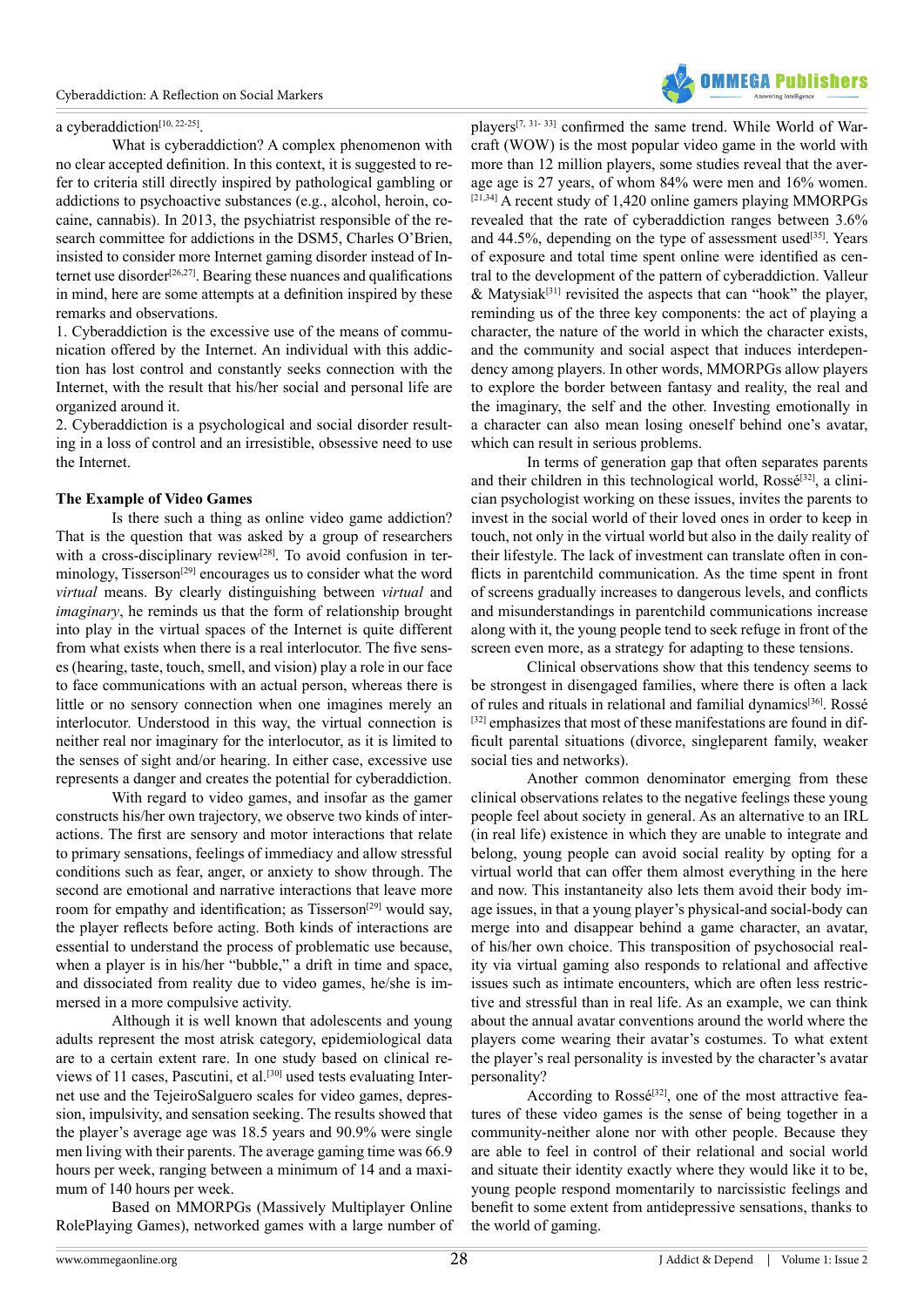

#### a cyberaddiction<sup>[10, 22-25]</sup>.

What is cyberaddiction? A complex phenomenon with no clear accepted definition. In this context, it is suggested to refer to criteria still directly inspired by pathological gambling or addictions to psychoactive substances (e.g., alcohol, heroin, cocaine, cannabis). In 2013, the psychiatrist responsible of the research committee for addictions in the DSM5, Charles O'Brien, insisted to consider more Internet gaming disorder instead of Internet use disorder<sup>[26,27]</sup>. Bearing these nuances and qualifications in mind, here are some attempts at a definition inspired by these remarks and observations.

1. Cyberaddiction is the excessive use of the means of communication offered by the Internet. An individual with this addiction has lost control and constantly seeks connection with the Internet, with the result that his/her social and personal life are organized around it.

2. Cyberaddiction is a psychological and social disorder resulting in a loss of control and an irresistible, obsessive need to use the Internet.

#### **The Example of Video Games**

Is there such a thing as online video game addiction? That is the question that was asked by a group of researchers with a cross-disciplinary review<sup>[\[28\]](#page-4-6)</sup>. To avoid confusion in ter-minology, Tisserson<sup>[\[29\]](#page-4-7)</sup> encourages us to consider what the word *virtual* means. By clearly distinguishing between *virtual* and *imaginary*, he reminds us that the form of relationship brought into play in the virtual spaces of the Internet is quite different from what exists when there is a real interlocutor. The five senses (hearing, taste, touch, smell, and vision) play a role in our face to face communications with an actual person, whereas there is little or no sensory connection when one imagines merely an interlocutor. Understood in this way, the virtual connection is neither real nor imaginary for the interlocutor, as it is limited to the senses of sight and/or hearing. In either case, excessive use represents a danger and creates the potential for cyberaddiction.

With regard to video games, and insofar as the gamer constructs his/her own trajectory, we observe two kinds of interactions. The first are sensory and motor interactions that relate to primary sensations, feelings of immediacy and allow stressful conditions such as fear, anger, or anxiety to show through. The second are emotional and narrative interactions that leave more room for empathy and identification; as Tisserson<sup>[29]</sup> would say, the player reflects before acting. Both kinds of interactions are essential to understand the process of problematic use because, when a player is in his/her "bubble," a drift in time and space, and dissociated from reality due to video games, he/she is immersed in a more compulsive activity.

Although it is well known that adolescents and young adults represent the most atrisk category, epidemiological data are to a certain extent rare. In one study based on clinical re-views of 11 cases, Pascutini, et al.<sup>[\[30\]](#page-4-8)</sup> used tests evaluating Internet use and the TejeiroSalguero scales for video games, depression, impulsivity, and sensation seeking. The results showed that the player's average age was 18.5 years and 90.9% were single men living with their parents. The average gaming time was 66.9 hours per week, ranging between a minimum of 14 and a maximum of 140 hours per week.

Based on MMORPGs (Massively Multiplayer Online RolePlaying Games), networked games with a large number of players[\[7, 31- 33\]](#page-3-1) confirmed the same trend. While World of Warcraft (WOW) is the most popular video game in the world with more than 12 million players, some studies reveal that the average age is 27 years, of whom 84% were men and 16% women.  $[21,34]$  A recent study of 1,420 online gamers playing MMORPGs revealed that the rate of cyberaddiction ranges between 3.6% and  $44.5\%$ , depending on the type of assessment used<sup>[35]</sup>. Years of exposure and total time spent online were identified as central to the development of the pattern of cyberaddiction. Valleur & Matysiak<sup>[\[31\]](#page-4-10)</sup> revisited the aspects that can "hook" the player, reminding us of the three key components: the act of playing a character, the nature of the world in which the character exists, and the community and social aspect that induces interdependency among players. In other words, MMORPGs allow players to explore the border between fantasy and reality, the real and the imaginary, the self and the other. Investing emotionally in a character can also mean losing oneself behind one's avatar, which can result in serious problems.

In terms of generation gap that often separates parents and their children in this technological world, Rossé<sup>[\[32\]](#page-4-11)</sup>, a clinician psychologist working on these issues, invites the parents to invest in the social world of their loved ones in order to keep in touch, not only in the virtual world but also in the daily reality of their lifestyle. The lack of investment can translate often in conflicts in parentchild communication. As the time spent in front of screens gradually increases to dangerous levels, and conflicts and misunderstandings in parentchild communications increase along with it, the young people tend to seek refuge in front of the screen even more, as a strategy for adapting to these tensions.

Clinical observations show that this tendency seems to be strongest in disengaged families, where there is often a lack of rules and rituals in relational and familial dynamics<sup>[\[36\]](#page-4-12)</sup>. Rossé [\[32\]](#page-4-11) emphasizes that most of these manifestations are found in difficult parental situations (divorce, singleparent family, weaker social ties and networks).

Another common denominator emerging from these clinical observations relates to the negative feelings these young people feel about society in general. As an alternative to an IRL (in real life) existence in which they are unable to integrate and belong, young people can avoid social reality by opting for a virtual world that can offer them almost everything in the here and now. This instantaneity also lets them avoid their body image issues, in that a young player's physical-and social-body can merge into and disappear behind a game character, an avatar, of his/her own choice. This transposition of psychosocial reality via virtual gaming also responds to relational and affective issues such as intimate encounters, which are often less restrictive and stressful than in real life. As an example, we can think about the annual avatar conventions around the world where the players come wearing their avatar's costumes. To what extent the player's real personality is invested by the character's avatar personality?

According to Rossé<sup>[32]</sup>, one of the most attractive features of these video games is the sense of being together in a community-neither alone nor with other people. Because they are able to feel in control of their relational and social world and situate their identity exactly where they would like it to be, young people respond momentarily to narcissistic feelings and benefit to some extent from antidepressive sensations, thanks to the world of gaming.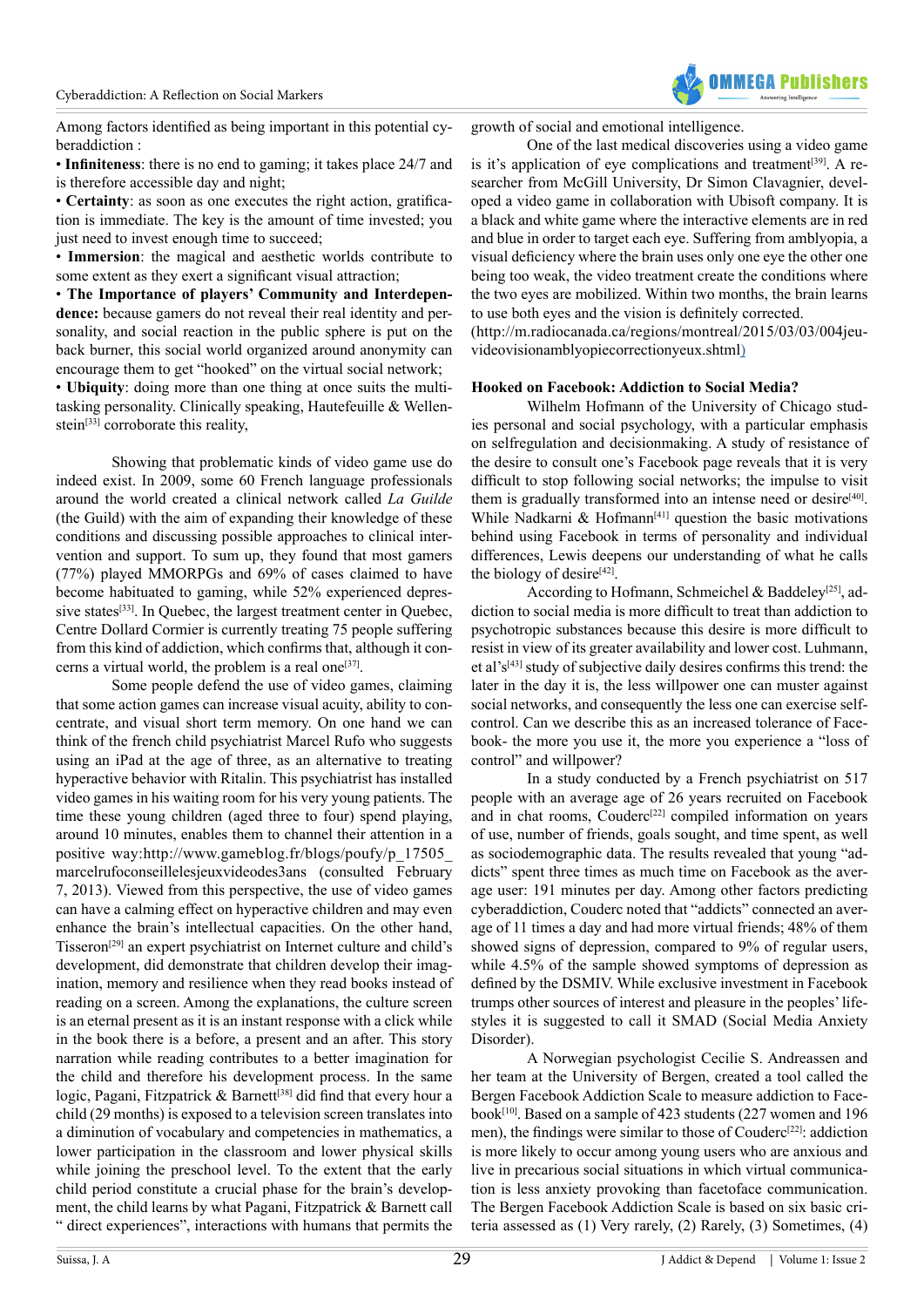

Among factors identified as being important in this potential cyberaddiction :

• **Infiniteness**: there is no end to gaming; it takes place 24/7 and is therefore accessible day and night;

• **Certainty**: as soon as one executes the right action, gratification is immediate. The key is the amount of time invested; you just need to invest enough time to succeed;

• **Immersion**: the magical and aesthetic worlds contribute to some extent as they exert a significant visual attraction;

• **The Importance of players' Community and Interdependence:** because gamers do not reveal their real identity and personality, and social reaction in the public sphere is put on the back burner, this social world organized around anonymity can encourage them to get "hooked" on the virtual social network;

• **Ubiquity**: doing more than one thing at once suits the multitasking personality. Clinically speaking, Hautefeuille & Wellenstein<sup>[33]</sup> corroborate this reality,

Showing that problematic kinds of video game use do indeed exist. In 2009, some 60 French language professionals around the world created a clinical network called *La Guilde*  (the Guild) with the aim of expanding their knowledge of these conditions and discussing possible approaches to clinical intervention and support. To sum up, they found that most gamers (77%) played MMORPGs and 69% of cases claimed to have become habituated to gaming, while 52% experienced depres-sive states<sup>[\[33\]](#page-4-13)</sup>. In Quebec, the largest treatment center in Quebec, Centre Dollard Cormier is currently treating 75 people suffering from this kind of addiction, which confirms that, although it concerns a virtual world, the problem is a real one<sup>[37]</sup>.

Some people defend the use of video games, claiming that some action games can increase visual acuity, ability to concentrate, and visual short term memory. On one hand we can think of the french child psychiatrist Marcel Rufo who suggests using an iPad at the age of three, as an alternative to treating hyperactive behavior with Ritalin. This psychiatrist has installed video games in his waiting room for his very young patients. The time these young children (aged three to four) spend playing, around 10 minutes, enables them to channel their attention in a positive way[:http://www.gameblog.fr/blogs/poufy/p\\_17505\\_](http://www.gameblog.fr/blogs/poufy/p_17505_marcel-rufo-conseille-les-jeux-video-des-3-ans) [marcelrufoconseillelesjeuxvideodes3ans](http://www.gameblog.fr/blogs/poufy/p_17505_marcel-rufo-conseille-les-jeux-video-des-3-ans) (consulted February 7, 2013). Viewed from this perspective, the use of video games can have a calming effect on hyperactive children and may even enhance the brain's intellectual capacities. On the other hand, Tisseron<sup>[29]</sup> an expert psychiatrist on Internet culture and child's development, did demonstrate that children develop their imagination, memory and resilience when they read books instead of reading on a screen. Among the explanations, the culture screen is an eternal present as it is an instant response with a click while in the book there is a before, a present and an after. This story narration while reading contributes to a better imagination for the child and therefore his development process. In the same logic, Pagani, Fitzpatrick & Barnett<sup>[\[38\]](#page-4-15)</sup> did find that every hour a child (29 months) is exposed to a television screen translates into a diminution of vocabulary and competencies in mathematics, a lower participation in the classroom and lower physical skills while joining the preschool level. To the extent that the early child period constitute a crucial phase for the brain's development, the child learns by what Pagani, Fitzpatrick & Barnett call " direct experiences", interactions with humans that permits the

growth of social and emotional intelligence.

One of the last medical discoveries using a video game is it's application of eye complications and treatment<sup>[\[39\]](#page-4-16)</sup>. A researcher from McGill University, Dr Simon Clavagnier, developed a video game in collaboration with Ubisoft company. It is a black and white game where the interactive elements are in red and blue in order to target each eye. Suffering from amblyopia, a visual deficiency where the brain uses only one eye the other one being too weak, the video treatment create the conditions where the two eyes are mobilized. Within two months, the brain learns to use both eyes and the vision is definitely corrected.

([http://m.radiocanada.ca/regions/montreal/2015/03/03/004jeu](http://m.radio-canada.ca/regions/montreal/2015/03/03/004-jeu-video-vision-amblyopie-correction-yeux.)[videovisionamblyopiecorrectionyeux.shtml](http://m.radio-canada.ca/regions/montreal/2015/03/03/004-jeu-video-vision-amblyopie-correction-yeux.))

#### **Hooked on Facebook: Addiction to Social Media?**

Wilhelm Hofmann of the University of Chicago studies personal and social psychology, with a particular emphasis on selfregulation and decisionmaking. A study of resistance of the desire to consult one's Facebook page reveals that it is very difficult to stop following social networks; the impulse to visit them is gradually transformed into an intense need or desire<sup>[40]</sup>. While Nadkarni  $\&$  Hofmann<sup>[\[41\]](#page-4-18)</sup> question the basic motivations behind using Facebook in terms of personality and individual differences, Lewis deepens our understanding of what he calls the biology of desire $[42]$ .

According to Hofmann, Schmeichel & Baddeley<sup>[25]</sup>, addiction to social media is more difficult to treat than addiction to psychotropic substances because this desire is more difficult to resist in view of its greater availability and lower cost. Luhmann, et al's[\[43\]](#page-4-21) study of subjective daily desires confirms this trend: the later in the day it is, the less willpower one can muster against social networks, and consequently the less one can exercise selfcontrol. Can we describe this as an increased tolerance of Facebook- the more you use it, the more you experience a "loss of control" and willpower?

In a study conducted by a French psychiatrist on 517 people with an average age of 26 years recruited on Facebook and in chat rooms, Couderc<sup>[22]</sup> compiled information on years of use, number of friends, goals sought, and time spent, as well as sociodemographic data. The results revealed that young "addicts" spent three times as much time on Facebook as the average user: 191 minutes per day. Among other factors predicting cyberaddiction, Couderc noted that "addicts" connected an average of 11 times a day and had more virtual friends; 48% of them showed signs of depression, compared to 9% of regular users, while 4.5% of the sample showed symptoms of depression as defined by the DSMIV. While exclusive investment in Facebook trumps other sources of interest and pleasure in the peoples' lifestyles it is suggested to call it SMAD (Social Media Anxiety Disorder).

A Norwegian psychologist Cecilie S. Andreassen and her team at the University of Bergen, created a tool called the Bergen Facebook Addiction Scale to measure addiction to Face-book<sup>[\[10\]](#page-3-6)</sup>. Based on a sample of 423 students (227 women and 196 men), the findings were similar to those of Couderc<sup>[\[22\]](#page-4-22)</sup>: addiction is more likely to occur among young users who are anxious and live in precarious social situations in which virtual communication is less anxiety provoking than facetoface communication. The Bergen Facebook Addiction Scale is based on six basic criteria assessed as (1) Very rarely, (2) Rarely, (3) Sometimes, (4)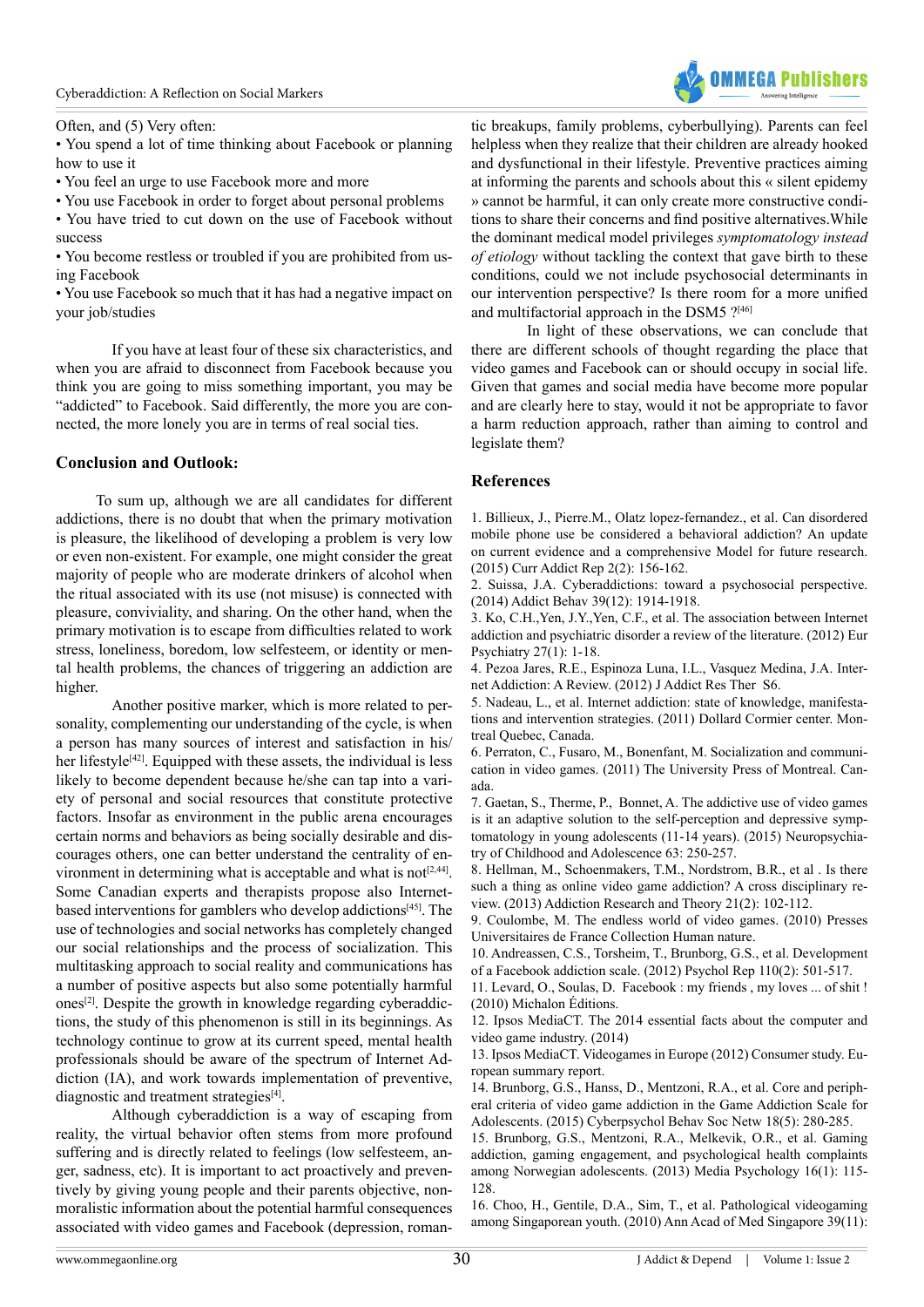

Often, and (5) Very often:

• You spend a lot of time thinking about Facebook or planning how to use it

- You feel an urge to use Facebook more and more
- You use Facebook in order to forget about personal problems • You have tried to cut down on the use of Facebook without

success

• You become restless or troubled if you are prohibited from using Facebook

• You use Facebook so much that it has had a negative impact on your job/studies

If you have at least four of these six characteristics, and when you are afraid to disconnect from Facebook because you think you are going to miss something important, you may be "addicted" to Facebook. Said differently, the more you are connected, the more lonely you are in terms of real social ties.

## **Conclusion and Outlook:**

 To sum up, although we are all candidates for different addictions, there is no doubt that when the primary motivation is pleasure, the likelihood of developing a problem is very low or even non-existent. For example, one might consider the great majority of people who are moderate drinkers of alcohol when the ritual associated with its use (not misuse) is connected with pleasure, conviviality, and sharing. On the other hand, when the primary motivation is to escape from difficulties related to work stress, loneliness, boredom, low selfesteem, or identity or mental health problems, the chances of triggering an addiction are higher.

Another positive marker, which is more related to personality, complementing our understanding of the cycle, is when a person has many sources of interest and satisfaction in his/ her lifestyle $[42]$ . Equipped with these assets, the individual is less likely to become dependent because he/she can tap into a variety of personal and social resources that constitute protective factors. Insofar as environment in the public arena encourages certain norms and behaviors as being socially desirable and discourages others, one can better understand the centrality of environment in determining what is acceptable and what is not $[2,44]$ . Some Canadian experts and therapists propose also Internetbased interventions for gamblers who develop addictions<sup>[45]</sup>. The use of technologies and social networks has completely changed our social relationships and the process of socialization. This multitasking approach to social reality and communications has a number of positive aspects but also some potentially harmful ones<sup>[2]</sup>. Despite the growth in knowledge regarding cyberaddictions, the study of this phenomenon is still in its beginnings. As technology continue to grow at its current speed, mental health professionals should be aware of the spectrum of Internet Addiction (IA), and work towards implementation of preventive, diagnostic and treatment strategies $[4]$ .

Although cyberaddiction is a way of escaping from reality, the virtual behavior often stems from more profound suffering and is directly related to feelings (low selfesteem, anger, sadness, etc). It is important to act proactively and preventively by giving young people and their parents objective, nonmoralistic information about the potential harmful consequences associated with video games and Facebook (depression, romantic breakups, family problems, cyberbullying). Parents can feel helpless when they realize that their children are already hooked and dysfunctional in their lifestyle. Preventive practices aiming at informing the parents and schools about this « silent epidemy » cannot be harmful, it can only create more constructive conditions to share their concerns and find positive alternatives.While the dominant medical model privileges *symptomatology instead of etiology* without tackling the context that gave birth to these conditions, could we not include psychosocial determinants in our intervention perspective? Is there room for a more unified and multifactorial approach in the DSM5 [?\[46\]](#page-4-24)

In light of these observations, we can conclude that there are different schools of thought regarding the place that video games and Facebook can or should occupy in social life. Given that games and social media have become more popular and are clearly here to stay, would it not be appropriate to favor a harm reduction approach, rather than aiming to control and legislate them?

## **References**

<span id="page-3-0"></span>1. [Billieux, J., Pierre.M., Olatz lopez-fernandez., et al. Can disordered](http://link.springer.com/article/10.1007%2Fs40429-015-0054-y#/page-1) [mobile phone use be considered a behavioral addiction? An update](http://link.springer.com/article/10.1007%2Fs40429-015-0054-y#/page-1) [on current evidence and a comprehensive Model for future research.](http://link.springer.com/article/10.1007%2Fs40429-015-0054-y#/page-1) [\(2015\) Curr Addict Rep 2\(2\): 156-162.](http://link.springer.com/article/10.1007%2Fs40429-015-0054-y#/page-1)

<span id="page-3-7"></span>2. [Suissa, J.A. Cyberaddictions: toward a psychosocial perspective.](http://www.ncbi.nlm.nih.gov/pubmed/25173593) [\(2014\) Addict Behav 39\(12\): 1914-1918.](http://www.ncbi.nlm.nih.gov/pubmed/25173593)

3. [Ko, C.H.,Yen, J.Y.,Yen, C.F., et al. The association between Internet](http://www.ncbi.nlm.nih.gov/pubmed/22153731) [addiction and psychiatric disorder a review of the literature. \(2012\) Eur](http://www.ncbi.nlm.nih.gov/pubmed/22153731) [Psychiatry 27\(1\): 1-18.](http://www.ncbi.nlm.nih.gov/pubmed/22153731)

<span id="page-3-8"></span>4. [Pezoa Jares, R.E., Espinoza Luna, I.L., Vasquez Medina, J.A. Inter](http://www.omicsonline.org/internet-addiction-a-review-2155-6105.S6-004.php?aid=10923)[net Addiction: A Review. \(2012\) J Addict Res Ther S6.](http://www.omicsonline.org/internet-addiction-a-review-2155-6105.S6-004.php?aid=10923)

5. Nadeau, L., et al. Internet addiction: state of knowledge, manifestations and intervention strategies. (2011) Dollard Cormier center. Montreal Quebec, Canada.

6. Perraton, C., Fusaro, M., Bonenfant, M. Socialization and communication in video games. (2011) The University Press of Montreal. Canada.

<span id="page-3-1"></span>7. [Gaetan, S., Therme, P., Bonnet, A. The addictive use of video games](http://www.em-consulte.com/article/983959/l-utilisation-addictive-des-jeux-video-est-elle-un) [is it an adaptive solution to the self-perception and depressive symp](http://www.em-consulte.com/article/983959/l-utilisation-addictive-des-jeux-video-est-elle-un)[tomatology in young adolescents \(11-14 years\). \(2015\) Neuropsychia](http://www.em-consulte.com/article/983959/l-utilisation-addictive-des-jeux-video-est-elle-un)[try of Childhood and Adolescence 63: 250-257.](http://www.em-consulte.com/article/983959/l-utilisation-addictive-des-jeux-video-est-elle-un)

8. [Hellman, M., Schoenmakers, T.M., Nordstrom, B.R., et al . Is there](http://www.researchgate.net/publication/262838775_Is_there_such_a_thing_as_online_video_game_addiction_A_cross-disciplinary_review) [such a thing as online video game addiction? A cross disciplinary re](http://www.researchgate.net/publication/262838775_Is_there_such_a_thing_as_online_video_game_addiction_A_cross-disciplinary_review)[view. \(2013\) Addiction Research and Theory 21\(2\): 102-112.](http://www.researchgate.net/publication/262838775_Is_there_such_a_thing_as_online_video_game_addiction_A_cross-disciplinary_review)

9. [Coulombe, M. The endless world of video games. \(2010\) Presses](https://www.erudit.org/revue/as/2011/v35/n1-2/1006389ar.pdf) [Universitaires de France Collection Human nature.](https://www.erudit.org/revue/as/2011/v35/n1-2/1006389ar.pdf) 

<span id="page-3-6"></span>10. [Andreassen, C.S., Torsheim, T., Brunborg, G.S., et al. Development](http://www.ncbi.nlm.nih.gov/pubmed/22662404) [of a Facebook addiction scale. \(2012\) Psychol Rep 110\(2\): 501-517.](http://www.ncbi.nlm.nih.gov/pubmed/22662404)

<span id="page-3-5"></span>11. [Levard, O., Soulas, D. Facebook : my friends , my loves ... of shit !](http://www.michalon.fr/index.asp?navig=catalogue&obj=livre&no=500059) [\(2010\) Michalon Éditions.](http://www.michalon.fr/index.asp?navig=catalogue&obj=livre&no=500059)

<span id="page-3-2"></span>12. [Ipsos MediaCT. The 2014 essential facts about the computer and](http://www.theesa.com/wp-content/uploads/2014/10/ESA_EF_2014.pdf) [video game industry. \(2014\)](http://www.theesa.com/wp-content/uploads/2014/10/ESA_EF_2014.pdf)

<span id="page-3-3"></span>13. [Ipsos MediaCT. Videogames in Europe \(2012\) Consumer study. Eu](http://www.isfe.eu/sites/isfe.eu/files/attachments/euro_summary_-_isfe_consumer_study.pdf)[ropean summary report.](http://www.isfe.eu/sites/isfe.eu/files/attachments/euro_summary_-_isfe_consumer_study.pdf)

<span id="page-3-4"></span>14. [Brunborg, G.S., Hanss, D., Mentzoni, R.A., et al. Core and periph](http://www.ncbi.nlm.nih.gov/pubmed/25826043)[eral criteria of video game addiction in the Game Addiction Scale for](http://www.ncbi.nlm.nih.gov/pubmed/25826043) [Adolescents. \(2015\) Cyberpsychol Behav Soc Netw 18\(5\): 280-285.](http://www.ncbi.nlm.nih.gov/pubmed/25826043)

15. [Brunborg, G.S., Mentzoni, R.A., Melkevik, O.R., et al. Gaming](http://www.tandfonline.com/doi/abs/10.1080/15213269.2012.756374) [addiction, gaming engagement, and psychological health complaints](http://www.tandfonline.com/doi/abs/10.1080/15213269.2012.756374) [among Norwegian adolescents. \(2013\) Media Psychology 16\(1\): 115-](http://www.tandfonline.com/doi/abs/10.1080/15213269.2012.756374) [128.](http://www.tandfonline.com/doi/abs/10.1080/15213269.2012.756374) 

16. [Choo, H., Gentile, D.A., Sim, T., et al. Pathological videogaming](http://www.ncbi.nlm.nih.gov/pubmed/21165520) [among Singaporean youth. \(2010\) Ann Acad of Med Singapore 39\(11\):](http://www.ncbi.nlm.nih.gov/pubmed/21165520)